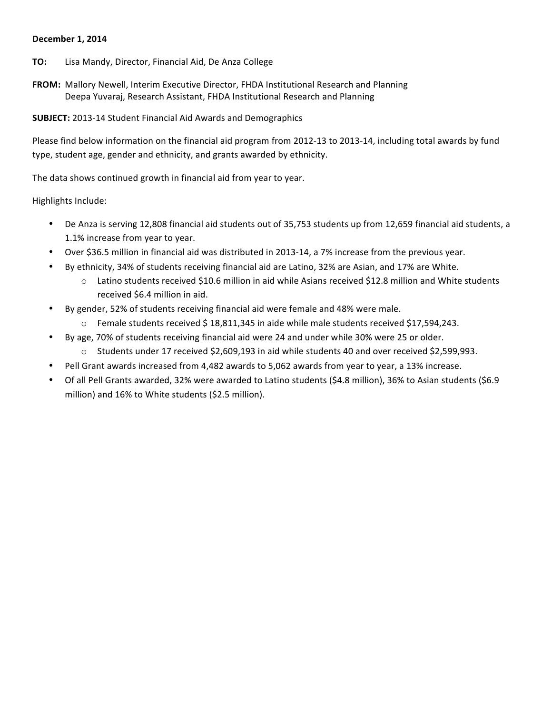#### **December 1, 2014**

- **TO:** Lisa Mandy, Director, Financial Aid, De Anza College
- FROM: Mallory Newell, Interim Executive Director, FHDA Institutional Research and Planning Deepa Yuvaraj, Research Assistant, FHDA Institutional Research and Planning

**SUBJECT:** 2013-14 Student Financial Aid Awards and Demographics

Please find below information on the financial aid program from 2012-13 to 2013-14, including total awards by fund type, student age, gender and ethnicity, and grants awarded by ethnicity.

The data shows continued growth in financial aid from year to year.

Highlights Include:

- De Anza is serving 12,808 financial aid students out of 35,753 students up from 12,659 financial aid students, a 1.1% increase from year to year.
- Over \$36.5 million in financial aid was distributed in 2013-14, a 7% increase from the previous year.
- By ethnicity, 34% of students receiving financial aid are Latino, 32% are Asian, and 17% are White.
	- $\circ$  Latino students received \$10.6 million in aid while Asians received \$12.8 million and White students received \$6.4 million in aid.
- By gender, 52% of students receiving financial aid were female and 48% were male.
	- $\circ$  Female students received \$18,811,345 in aide while male students received \$17,594,243.
- By age, 70% of students receiving financial aid were 24 and under while 30% were 25 or older.
	- $\circ$  Students under 17 received \$2,609,193 in aid while students 40 and over received \$2,599,993.
- Pell Grant awards increased from 4,482 awards to 5,062 awards from year to year, a 13% increase.
- Of all Pell Grants awarded, 32% were awarded to Latino students (\$4.8 million), 36% to Asian students (\$6.9 million) and 16% to White students (\$2.5 million).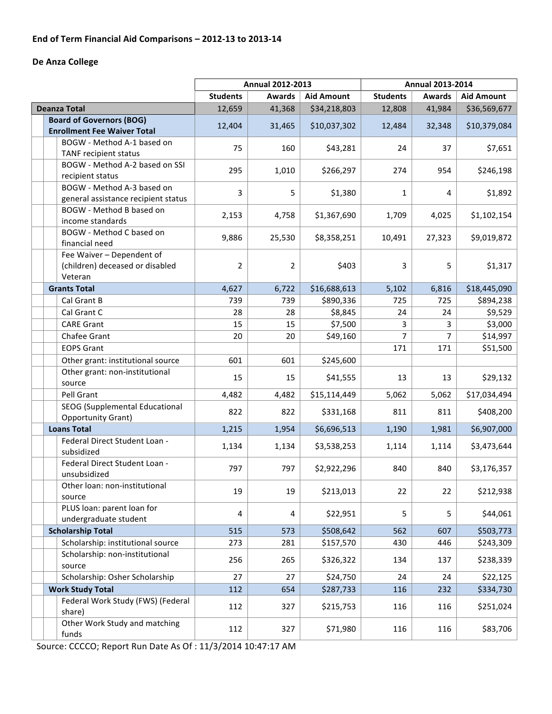## End of Term Financial Aid Comparisons - 2012-13 to 2013-14

## De Anza College

|                                              | <b>Annual 2012-2013</b>                               |        | <b>Annual 2013-2014</b> |                 |                                    |              |  |
|----------------------------------------------|-------------------------------------------------------|--------|-------------------------|-----------------|------------------------------------|--------------|--|
|                                              | <b>Students</b><br><b>Aid Amount</b><br><b>Awards</b> |        |                         | <b>Students</b> | <b>Awards</b><br><b>Aid Amount</b> |              |  |
| <b>Deanza Total</b>                          | 12,659                                                | 41,368 | \$34,218,803            | 12,808          | 41,984                             | \$36,569,677 |  |
| <b>Board of Governors (BOG)</b>              | 12,404                                                | 31,465 | \$10,037,302            | 12,484          | 32,348                             | \$10,379,084 |  |
| <b>Enrollment Fee Waiver Total</b>           |                                                       |        |                         |                 |                                    |              |  |
| BOGW - Method A-1 based on                   | 75                                                    | 160    | \$43,281                | 24              | 37                                 | \$7,651      |  |
| TANF recipient status                        |                                                       |        |                         |                 |                                    |              |  |
| BOGW - Method A-2 based on SSI               | 295                                                   | 1,010  | \$266,297               | 274             | 954                                | \$246,198    |  |
| recipient status                             |                                                       |        |                         |                 |                                    |              |  |
| BOGW - Method A-3 based on                   | 3                                                     | 5      | \$1,380                 | $\mathbf{1}$    | 4                                  | \$1,892      |  |
| general assistance recipient status          |                                                       |        |                         |                 |                                    |              |  |
| BOGW - Method B based on<br>income standards | 2,153                                                 | 4,758  | \$1,367,690             | 1,709           | 4,025                              | \$1,102,154  |  |
| BOGW - Method C based on                     |                                                       |        |                         |                 |                                    |              |  |
| financial need                               | 9,886                                                 | 25,530 | \$8,358,251             | 10,491          | 27,323                             | \$9,019,872  |  |
| Fee Waiver - Dependent of                    |                                                       |        |                         |                 |                                    |              |  |
| (children) deceased or disabled              | $\overline{2}$                                        | 2      | \$403                   | 3               | 5                                  | \$1,317      |  |
| Veteran                                      |                                                       |        |                         |                 |                                    |              |  |
| <b>Grants Total</b>                          | 4,627                                                 | 6,722  | \$16,688,613            | 5,102           | 6,816                              | \$18,445,090 |  |
| Cal Grant B                                  | 739                                                   | 739    | \$890,336               | 725             | 725                                | \$894,238    |  |
| Cal Grant C                                  | 28                                                    | 28     | \$8,845                 | 24              | 24                                 | \$9,529      |  |
| <b>CARE Grant</b>                            | 15                                                    | 15     | \$7,500                 | 3               | 3                                  | \$3,000      |  |
| Chafee Grant                                 | 20                                                    | 20     | \$49,160                | 7               | $\overline{7}$                     | \$14,997     |  |
| <b>EOPS Grant</b>                            |                                                       |        |                         | 171             | 171                                | \$51,500     |  |
| Other grant: institutional source            | 601                                                   | 601    | \$245,600               |                 |                                    |              |  |
| Other grant: non-institutional               |                                                       |        |                         |                 |                                    |              |  |
| source                                       | 15                                                    | 15     | \$41,555                | 13              | 13                                 | \$29,132     |  |
| Pell Grant                                   | 4,482                                                 | 4,482  | \$15,114,449            | 5,062           | 5,062                              | \$17,034,494 |  |
| SEOG (Supplemental Educational               |                                                       |        |                         |                 |                                    |              |  |
| <b>Opportunity Grant)</b>                    | 822                                                   | 822    | \$331,168               | 811             | 811                                | \$408,200    |  |
| <b>Loans Total</b>                           | 1,215                                                 | 1,954  | \$6,696,513             | 1,190           | 1,981                              | \$6,907,000  |  |
| Federal Direct Student Loan -                |                                                       |        |                         |                 |                                    |              |  |
| subsidized                                   | 1,134                                                 | 1,134  | \$3,538,253             | 1,114           | 1,114                              | \$3,473,644  |  |
| Federal Direct Student Loan -                | 797                                                   | 797    | \$2,922,296             | 840             | 840                                | \$3,176,357  |  |
| unsubsidized                                 |                                                       |        |                         |                 |                                    |              |  |
| Other loan: non-institutional                | 19                                                    | 19     | \$213,013               | 22              | 22                                 | \$212,938    |  |
| source                                       |                                                       |        |                         |                 |                                    |              |  |
| PLUS loan: parent loan for                   | 4                                                     | 4      | \$22,951                | 5               | 5                                  | \$44,061     |  |
| undergraduate student                        |                                                       |        |                         |                 |                                    |              |  |
| <b>Scholarship Total</b>                     | 515                                                   | 573    | \$508,642               | 562             | 607                                | \$503,773    |  |
| Scholarship: institutional source            | 273                                                   | 281    | \$157,570               | 430             | 446                                | \$243,309    |  |
| Scholarship: non-institutional               | 256                                                   | 265    | \$326,322               | 134             | 137                                | \$238,339    |  |
| source                                       |                                                       |        |                         |                 |                                    |              |  |
| Scholarship: Osher Scholarship               | 27                                                    | 27     | \$24,750                | 24              | 24                                 | \$22,125     |  |
| <b>Work Study Total</b>                      | 112                                                   | 654    | \$287,733               | 116             | 232                                | \$334,730    |  |
| Federal Work Study (FWS) (Federal            | 112                                                   | 327    | \$215,753               | 116             | 116                                | \$251,024    |  |
| share)<br>Other Work Study and matching      |                                                       |        |                         |                 |                                    |              |  |
| funds                                        | 112                                                   | 327    | \$71,980                | 116             | 116                                | \$83,706     |  |
|                                              |                                                       |        |                         |                 |                                    |              |  |

Source: CCCCO; Report Run Date As Of : 11/3/2014 10:47:17 AM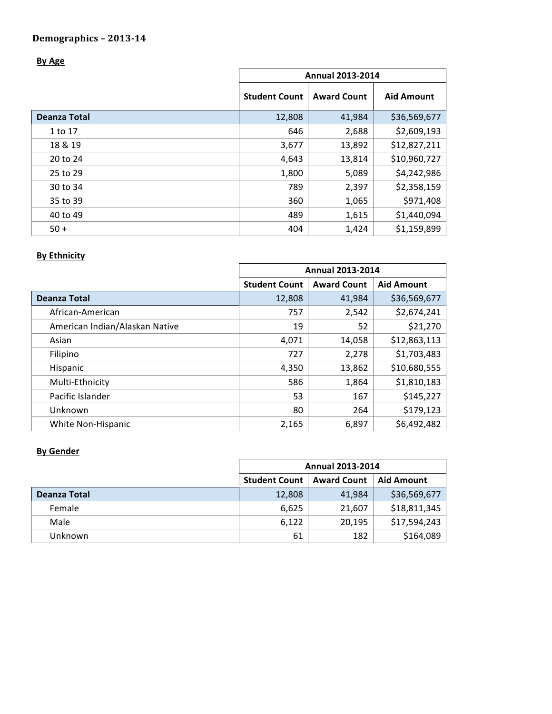# **By Age**

|                     | <b>Annual 2013-2014</b> |                    |                   |  |
|---------------------|-------------------------|--------------------|-------------------|--|
|                     | <b>Student Count</b>    | <b>Award Count</b> | <b>Aid Amount</b> |  |
| <b>Deanza Total</b> | 12,808                  | 41,984             | \$36,569,677      |  |
| 1 to 17             | 646                     | 2,688              | \$2,609,193       |  |
| 18 & 19             | 3,677                   | 13,892             | \$12,827,211      |  |
| 20 to 24            | 4,643                   | 13,814             | \$10,960,727      |  |
| 25 to 29            | 1,800                   | 5,089              | \$4,242,986       |  |
| 30 to 34            | 789                     | 2,397              | \$2,358,159       |  |
| 35 to 39            | 360                     | 1,065              | \$971,408         |  |
| 40 to 49            | 489                     | 1,615              | \$1,440,094       |  |
| $50 +$              | 404                     | 1,424              | \$1,159,899       |  |

## **By Ethnicity**

|              |                                | <b>Annual 2013-2014</b> |                    |                   |  |
|--------------|--------------------------------|-------------------------|--------------------|-------------------|--|
|              |                                | <b>Student Count</b>    | <b>Award Count</b> | <b>Aid Amount</b> |  |
| Deanza Total |                                | 12,808                  | 41,984             | \$36,569,677      |  |
|              | African-American               | 757                     | 2,542              | \$2,674,241       |  |
|              | American Indian/Alaskan Native | 19                      | 52                 | \$21,270          |  |
|              | Asian                          | 4,071                   | 14,058             | \$12,863,113      |  |
|              | Filipino                       | 727                     | 2,278              | \$1,703,483       |  |
|              | Hispanic                       | 4,350                   | 13,862             | \$10,680,555      |  |
|              | Multi-Ethnicity                | 586                     | 1,864              | \$1,810,183       |  |
|              | Pacific Islander               | 53                      | 167                | \$145,227         |  |
|              | Unknown                        | 80                      | 264                | \$179,123         |  |
|              | White Non-Hispanic             | 2,165                   | 6,897              | \$6,492,482       |  |

## **By Gender**

|              |         | <b>Annual 2013-2014</b> |                    |                   |
|--------------|---------|-------------------------|--------------------|-------------------|
|              |         | <b>Student Count</b>    | <b>Award Count</b> | <b>Aid Amount</b> |
| Deanza Total |         | 12,808                  | 41,984             | \$36,569,677      |
|              | Female  | 6,625                   | 21,607             | \$18,811,345      |
|              | Male    | 6,122                   | 20,195             | \$17,594,243      |
|              | Unknown | 61                      | 182                | \$164,089         |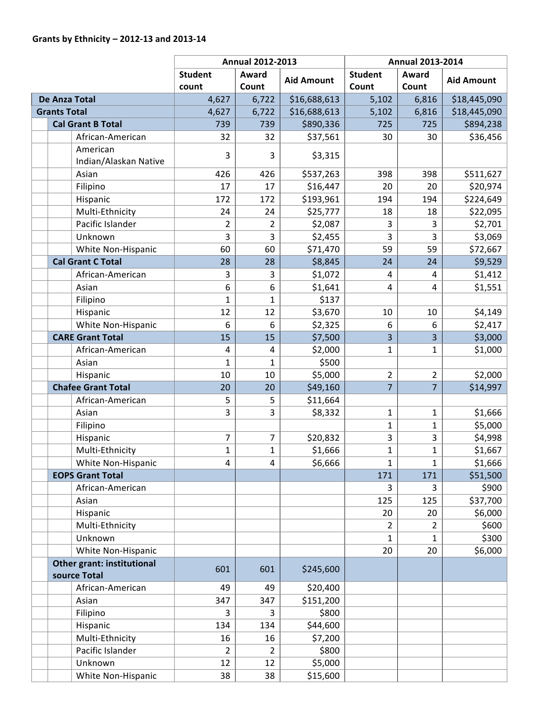## **Grants by Ethnicity – 2012-13 and 2013-14**

|                      |                                            |                       | <b>Annual 2012-2013</b> |                  | <b>Annual 2013-2014</b> |                |                |                   |
|----------------------|--------------------------------------------|-----------------------|-------------------------|------------------|-------------------------|----------------|----------------|-------------------|
|                      |                                            | <b>Student</b>        | Award                   | <b>Student</b>   | Award                   |                |                |                   |
|                      |                                            |                       | count                   | Count            | <b>Aid Amount</b>       | Count          | Count          | <b>Aid Amount</b> |
| <b>De Anza Total</b> |                                            | 4,627                 | 6,722                   | \$16,688,613     | 5,102                   | 6,816          | \$18,445,090   |                   |
|                      | <b>Grants Total</b>                        |                       | 4,627                   | 6,722            | \$16,688,613            | 5,102          | 6,816          | \$18,445,090      |
|                      | <b>Cal Grant B Total</b>                   |                       | 739                     | 739              | \$890,336               | 725            | 725            | \$894,238         |
|                      |                                            | African-American      | 32                      | 32               | \$37,561                | 30             | 30             | \$36,456          |
|                      | American                                   | Indian/Alaskan Native | 3                       | 3                | \$3,315                 |                |                |                   |
|                      | Asian                                      |                       | 426                     | 426              | \$537,263               | 398            | 398            | \$511,627         |
|                      | Filipino                                   |                       | 17                      | 17               | \$16,447                | 20             | 20             | \$20,974          |
|                      | Hispanic                                   |                       | 172                     | 172              | \$193,961               | 194            | 194            | \$224,649         |
|                      | Multi-Ethnicity                            |                       | 24                      | 24               | \$25,777                | 18             | 18             | \$22,095          |
|                      | Pacific Islander                           |                       | $\overline{2}$          | $\overline{2}$   | \$2,087                 | 3              | 3              | \$2,701           |
|                      | Unknown                                    |                       | 3                       | 3                | \$2,455                 | 3              | 3              | \$3,069           |
|                      |                                            | White Non-Hispanic    | 60                      | 60               | \$71,470                | 59             | 59             | \$72,667          |
|                      | <b>Cal Grant C Total</b>                   |                       | 28                      | 28               | \$8,845                 | 24             | 24             | \$9,529           |
|                      |                                            | African-American      | 3                       | 3                | \$1,072                 | 4              | 4              | \$1,412           |
|                      | Asian                                      |                       | 6                       | $\boldsymbol{6}$ | \$1,641                 | $\overline{4}$ | 4              | \$1,551           |
|                      | Filipino                                   |                       | $\mathbf{1}$            | $\mathbf{1}$     | \$137                   |                |                |                   |
|                      | Hispanic                                   |                       | 12                      | 12               | \$3,670                 | 10             | 10             | \$4,149           |
|                      |                                            | White Non-Hispanic    | $\boldsymbol{6}$        | 6                | \$2,325                 | 6              | 6              | \$2,417           |
|                      | <b>CARE Grant Total</b>                    |                       | 15                      | 15               | \$7,500                 | $\overline{3}$ | 3              | \$3,000           |
|                      |                                            | African-American      | 4                       | 4                | \$2,000                 | $\mathbf{1}$   | $\mathbf{1}$   | \$1,000           |
|                      | Asian                                      |                       | $\mathbf 1$             | $\mathbf{1}$     | \$500                   |                |                |                   |
|                      | Hispanic                                   |                       | 10                      | 10               | \$5,000                 | $\overline{2}$ | $\overline{2}$ | \$2,000           |
|                      | <b>Chafee Grant Total</b>                  |                       | 20                      | 20               | \$49,160                | $\overline{7}$ | $\overline{7}$ | \$14,997          |
|                      |                                            | African-American      | 5                       | 5                | \$11,664                |                |                |                   |
|                      | Asian                                      |                       | 3                       | 3                | \$8,332                 | $\mathbf{1}$   | $\mathbf{1}$   | \$1,666           |
|                      | Filipino                                   |                       |                         |                  |                         | $\mathbf 1$    | $\mathbf{1}$   | \$5,000           |
|                      | Hispanic                                   |                       | 7                       | 7                | \$20,832                | $\overline{3}$ | 3              | \$4,998           |
|                      | Multi-Ethnicity                            |                       | $\mathbf{1}$            | $\mathbf{1}$     | \$1,666                 | $\mathbf{1}$   | $\mathbf{1}$   | \$1,667           |
|                      |                                            | White Non-Hispanic    | 4                       | 4                | \$6,666                 | 1              | $\mathbf{1}$   | \$1,666           |
|                      | <b>EOPS Grant Total</b>                    |                       |                         |                  |                         | 171            | 171            | \$51,500          |
|                      |                                            | African-American      |                         |                  |                         | $\overline{3}$ | 3              | \$900             |
|                      | Asian                                      |                       |                         |                  |                         | 125            | 125            | \$37,700          |
|                      | Hispanic                                   |                       |                         |                  |                         | 20             | 20             | \$6,000           |
|                      | Multi-Ethnicity                            |                       |                         |                  |                         | 2              | $\overline{2}$ | \$600             |
|                      | Unknown                                    |                       |                         |                  |                         | $\mathbf{1}$   | $\mathbf{1}$   | \$300             |
|                      |                                            | White Non-Hispanic    |                         |                  |                         | 20             | 20             | \$6,000           |
|                      | Other grant: institutional<br>source Total |                       | 601                     | 601              | \$245,600               |                |                |                   |
|                      |                                            | African-American      | 49                      | 49               | \$20,400                |                |                |                   |
|                      | Asian                                      |                       | 347                     | 347              | \$151,200               |                |                |                   |
|                      | Filipino                                   |                       | 3                       | 3                | \$800                   |                |                |                   |
|                      | Hispanic                                   |                       | 134                     | 134              | \$44,600                |                |                |                   |
|                      | Multi-Ethnicity                            |                       | 16                      | 16               | \$7,200                 |                |                |                   |
|                      | Pacific Islander                           |                       | 2                       | $\overline{2}$   | \$800                   |                |                |                   |
|                      | Unknown                                    |                       | 12                      | 12               | \$5,000                 |                |                |                   |
|                      |                                            | White Non-Hispanic    | 38                      | 38               | \$15,600                |                |                |                   |